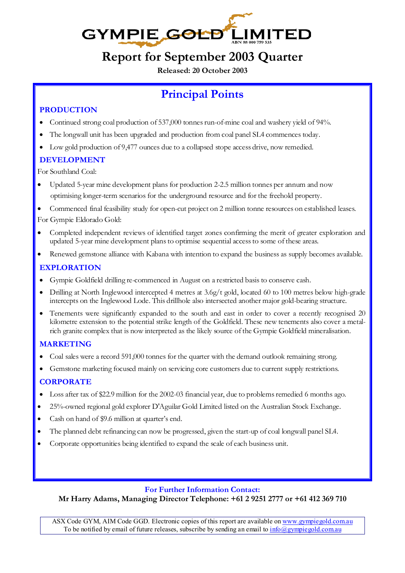

# **Report for September 2003 Quarter**

**Released: 20 October 2003** 

# **Principal Points**

#### **PRODUCTION**

- Continued strong coal production of 537,000 tonnes run-of-mine coal and washery yield of 94%.
- The longwall unit has been upgraded and production from coal panel SL4 commences today.
- Low gold production of 9,477 ounces due to a collapsed stope access drive, now remedied.

#### **DEVELOPMENT**

For Southland Coal:

- Updated 5-year mine development plans for production 2-2.5 million tonnes per annum and now optimising longer-term scenarios for the underground resource and for the freehold property.
- Commenced final feasibility study for open-cut project on 2 million tonne resources on established leases. For Gympie Eldorado Gold:
- Completed independent reviews of identified target zones confirming the merit of greater exploration and updated 5-year mine development plans to optimise sequential access to some of these areas.
- Renewed gemstone alliance with Kabana with intention to expand the business as supply becomes available.

### **EXPLORATION**

- Gympie Goldfield drilling re-commenced in August on a restricted basis to conserve cash.
- Drilling at North Inglewood intercepted 4 metres at 3.6g/t gold, located 60 to 100 metres below high-grade intercepts on the Inglewood Lode. This drillhole also intersected another major gold-bearing structure.
- Tenements were significantly expanded to the south and east in order to cover a recently recognised 20 kilometre extension to the potential strike length of the Goldfield. These new tenements also cover a metalrich granite complex that is now interpreted as the likely source of the Gympie Goldfield mineralisation.

#### **MARKETING**

- Coal sales were a record 591,000 tonnes for the quarter with the demand outlook remaining strong.
- Gemstone marketing focused mainly on servicing core customers due to current supply restrictions.

#### **CORPORATE**

- Loss after tax of \$22.9 million for the 2002-03 financial year, due to problems remedied 6 months ago.
- 25%-owned regional gold explorer D'Aguilar Gold Limited listed on the Australian Stock Exchange.
- Cash on hand of \$9.6 million at quarter's end.
- The planned debt refinancing can now be progressed, given the start-up of coal longwall panel SL4.
- Corporate opportunities being identified to expand the scale of each business unit.

#### **For Further Information Contact:**

**Mr Harry Adams, Managing Director Telephone: +61 2 9251 2777 or +61 412 369 710** 

ASX Code GYM, AIM Code GGD. Electronic copies of this report are available on www.gympiegold.com.au To be notified by email of future releases, subscribe by sending an email to  $\frac{info \& gympie gold.com.au}{info \& gympiegold.com.au}$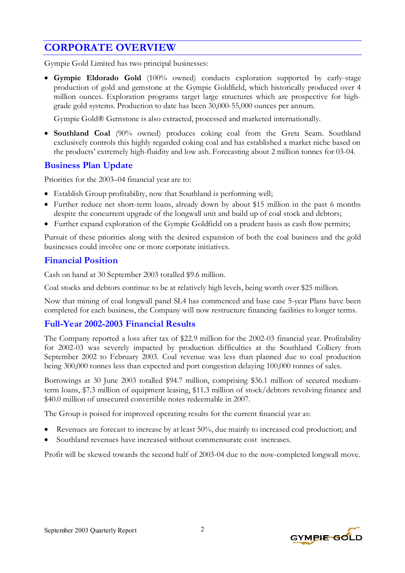## **CORPORATE OVERVIEW**

Gympie Gold Limited has two principal businesses:

• **Gympie Eldorado Gold** (100% owned) conducts exploration supported by early-stage production of gold and gemstone at the Gympie Goldfield, which historically produced over 4 million ounces. Exploration programs target large structures which are prospective for highgrade gold systems. Production to date has been 30,000-55,000 ounces per annum.

Gympie Gold® Gemstone is also extracted, processed and marketed internationally.

• **Southland Coal** (90% owned) produces coking coal from the Greta Seam. Southland exclusively controls this highly regarded coking coal and has established a market niche based on the products' extremely high-fluidity and low ash. Forecasting about 2 million tonnes for 03-04.

#### **Business Plan Update**

Priorities for the 2003–04 financial year are to:

- Establish Group profitability, now that Southland is performing well;
- Further reduce net short-term loans, already down by about \$15 million in the past 6 months despite the concurrent upgrade of the longwall unit and build up of coal stock and debtors;
- Further expand exploration of the Gympie Goldfield on a prudent basis as cash flow permits;

Pursuit of these priorities along with the desired expansion of both the coal business and the gold businesses could involve one or more corporate initiatives.

#### **Financial Position**

Cash on hand at 30 September 2003 totalled \$9.6 million.

Coal stocks and debtors continue to be at relatively high levels, being worth over \$25 million.

Now that mining of coal longwall panel SL4 has commenced and base case 5-year Plans have been completed for each business, the Company will now restructure financing facilities to longer terms.

### **Full-Year 2002-2003 Financial Results**

The Company reported a loss after tax of \$22.9 million for the 2002-03 financial year. Profitability for 2002-03 was severely impacted by production difficulties at the Southland Colliery from September 2002 to February 2003. Coal revenue was less than planned due to coal production being 300,000 tonnes less than expected and port congestion delaying 100,000 tonnes of sales.

Borrowings at 30 June 2003 totalled \$94.7 million, comprising \$36.1 million of secured mediumterm loans, \$7.3 million of equipment leasing, \$11.3 million of stock/debtors revolving finance and \$40.0 million of unsecured convertible notes redeemable in 2007.

The Group is poised for improved operating results for the current financial year as:

- Revenues are forecast to increase by at least 50%, due mainly to increased coal production; and
- Southland revenues have increased without commensurate cost increases.

Profit will be skewed towards the second half of 2003-04 due to the now-completed longwall move.

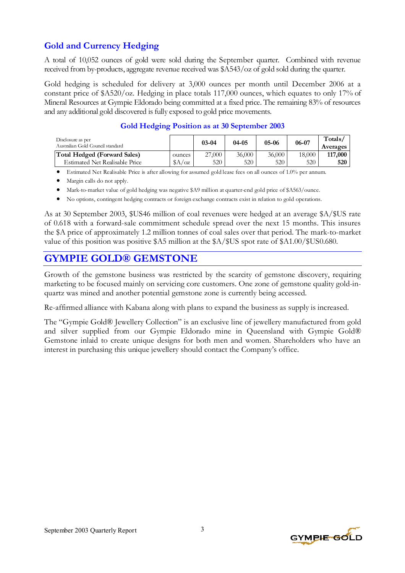### **Gold and Currency Hedging**

A total of 10,052 ounces of gold were sold during the September quarter. Combined with revenue received from by-products, aggregate revenue received was \$A543/oz of gold sold during the quarter.

Gold hedging is scheduled for delivery at 3,000 ounces per month until December 2006 at a constant price of \$A520/oz. Hedging in place totals 117,000 ounces, which equates to only 17% of Mineral Resources at Gympie Eldorado being committed at a fixed price. The remaining 83% of resources and any additional gold discovered is fully exposed to gold price movements.

| Disclosure as per<br>Australian Gold Council standard |            | $03 - 04$ | $04 - 05$ | $05-06$ | 06-07  | Totals/<br>Averages |
|-------------------------------------------------------|------------|-----------|-----------|---------|--------|---------------------|
| Total Hedged (Forward Sales)                          | ounces     | 27,000    | 36,000    | 36,000  | 18,000 | 117,000             |
| <b>Estimated Net Realisable Price</b>                 | $A/\alpha$ | 520       | 520       | 520     | 520    | 520                 |

#### **Gold Hedging Position as at 30 September 2003**

• Estimated Net Realisable Price is after allowing for assumed gold lease fees on all ounces of 1.0% per annum.

- Margin calls do not apply.
- Mark-to-market value of gold hedging was negative \$A9 million at quarter-end gold price of \$A563/ounce.
- No options, contingent hedging contracts or foreign exchange contracts exist in relation to gold operations.

As at 30 September 2003, \$US46 million of coal revenues were hedged at an average \$A/\$US rate of 0.618 with a forward-sale commitment schedule spread over the next 15 months. This insures the \$A price of approximately 1.2 million tonnes of coal sales over that period. The mark-to-market value of this position was positive \$A5 million at the \$A/\$US spot rate of \$A1.00/\$US0.680.

## **GYMPIE GOLD® GEMSTONE**

Growth of the gemstone business was restricted by the scarcity of gemstone discovery, requiring marketing to be focused mainly on servicing core customers. One zone of gemstone quality gold-inquartz was mined and another potential gemstone zone is currently being accessed.

Re-affirmed alliance with Kabana along with plans to expand the business as supply is increased.

The "Gympie Gold® Jewellery Collection" is an exclusive line of jewellery manufactured from gold and silver supplied from our Gympie Eldorado mine in Queensland with Gympie Gold® Gemstone inlaid to create unique designs for both men and women. Shareholders who have an interest in purchasing this unique jewellery should contact the Company's office.

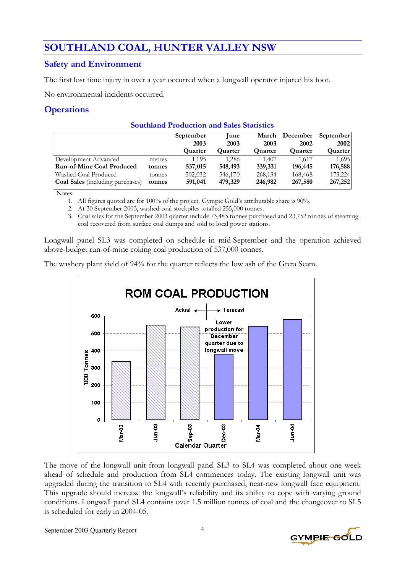## **SOUTHLAND COAL, HUNTER VALLEY NSW**

#### **Safety and Environment**

The first lost time injury in over a year occurred when a longwall operator injured his foot.

No environmental incidents occurred.

### **Operations**

|                                         |        | September | <b>une</b>     | March          | December | September   |
|-----------------------------------------|--------|-----------|----------------|----------------|----------|-------------|
|                                         |        | 2003      | 2003           | 2003           | 2002     | <b>2002</b> |
|                                         |        | Quarter   | <b>Quarter</b> | <b>Quarter</b> | Quarter  | Quarter     |
| Development Advanced                    | metres | 1.195     | 1.286          | 1.407          | 1.617    | 1,695       |
| <b>Run-of-Mine Coal Produced</b>        | tonnes | 537,015   | 548,493        | 339,331        | 196,445  | 176,588     |
| Washed Coal Produced                    | tonnes | 502,032   | 546,170        | 268,134        | 168,468  | 173,224     |
| <b>Coal Sales</b> (including purchases) | tonnes | 591,041   | 479,329        | 246,982        | 267,580  | 267,252     |

**Southland Production and Sales Statistics** 

Notes:

1. All figures quoted are for 100% of the project. Gympie Gold's attributable share is 90%.

2. At 30 September 2003, washed coal stockpiles totalled 255,000 tonnes.

3. Coal sales for the September 2003 quarter include 73,485 tonnes purchased and 23,752 tonnes of steaming coal recovered from surface coal dumps and sold to local power stations.

Longwall panel SL3 was completed on schedule in mid-September and the operation achieved above-budget run-of-mine coking coal production of 537,000 tonnes.

The washery plant yield of 94% for the quarter reflects the low ash of the Greta Seam.



The move of the longwall unit from longwall panel SL3 to SL4 was completed about one week ahead of schedule and production from SL4 commences today. The existing longwall unit was upgraded during the transition to SL4 with recently purchased, near-new longwall face equipment. This upgrade should increase the longwall's reliability and its ability to cope with varying ground conditions. Longwall panel SL4 contains over 1.5 million tonnes of coal and the changeover to SL5 is scheduled for early in 2004-05.

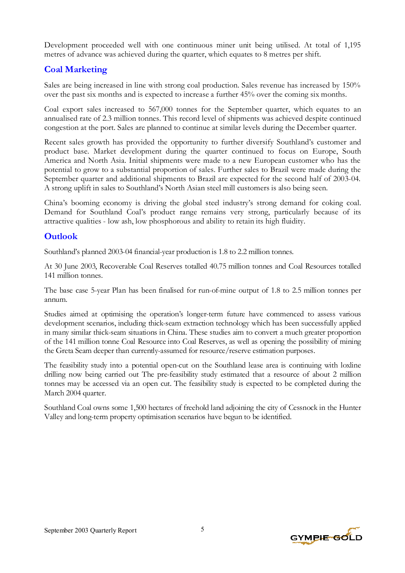Development proceeded well with one continuous miner unit being utilised. At total of 1,195 metres of advance was achieved during the quarter, which equates to 8 metres per shift.

#### **Coal Marketing**

Sales are being increased in line with strong coal production. Sales revenue has increased by 150% over the past six months and is expected to increase a further 45% over the coming six months.

Coal export sales increased to 567,000 tonnes for the September quarter, which equates to an annualised rate of 2.3 million tonnes. This record level of shipments was achieved despite continued congestion at the port. Sales are planned to continue at similar levels during the December quarter.

Recent sales growth has provided the opportunity to further diversify Southland's customer and product base. Market development during the quarter continued to focus on Europe, South America and North Asia. Initial shipments were made to a new European customer who has the potential to grow to a substantial proportion of sales. Further sales to Brazil were made during the September quarter and additional shipments to Brazil are expected for the second half of 2003-04. A strong uplift in sales to Southland's North Asian steel mill customers is also being seen.

China's booming economy is driving the global steel industry's strong demand for coking coal. Demand for Southland Coal's product range remains very strong, particularly because of its attractive qualities - low ash, low phosphorous and ability to retain its high fluidity.

#### **Outlook**

Southland's planned 2003-04 financial-year production is 1.8 to 2.2 million tonnes.

At 30 June 2003, Recoverable Coal Reserves totalled 40.75 million tonnes and Coal Resources totalled 141 million tonnes.

The base case 5-year Plan has been finalised for run-of-mine output of 1.8 to 2.5 million tonnes per annum.

Studies aimed at optimising the operation's longer-term future have commenced to assess various development scenarios, including thick-seam extraction technology which has been successfully applied in many similar thick-seam situations in China. These studies aim to convert a much greater proportion of the 141 million tonne Coal Resource into Coal Reserves, as well as opening the possibility of mining the Greta Seam deeper than currently-assumed for resource/reserve estimation purposes.

The feasibility study into a potential open-cut on the Southland lease area is continuing with loxline drilling now being carried out The pre-feasibility study estimated that a resource of about 2 million tonnes may be accessed via an open cut. The feasibility study is expected to be completed during the March 2004 quarter.

Southland Coal owns some 1,500 hectares of freehold land adjoining the city of Cessnock in the Hunter Valley and long-term property optimisation scenarios have begun to be identified.

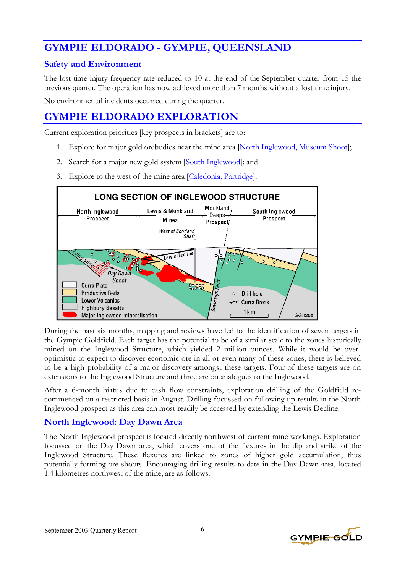## **GYMPIE ELDORADO - GYMPIE, QUEENSLAND**

#### **Safety and Environment**

The lost time injury frequency rate reduced to 10 at the end of the September quarter from 15 the previous quarter. The operation has now achieved more than 7 months without a lost time injury.

No environmental incidents occurred during the quarter.

## **GYMPIE ELDORADO EXPLORATION**

Current exploration priorities [key prospects in brackets] are to:

- 1. Explore for major gold orebodies near the mine area [North Inglewood, Museum Shoot];
- 2. Search for a major new gold system [South Inglewood]; and
- 3. Explore to the west of the mine area [Caledonia, Partridge].



During the past six months, mapping and reviews have led to the identification of seven targets in the Gympie Goldfield. Each target has the potential to be of a similar scale to the zones historically mined on the Inglewood Structure, which yielded 2 million ounces. While it would be overoptimistic to expect to discover economic ore in all or even many of these zones, there is believed to be a high probability of a major discovery amongst these targets. Four of these targets are on extensions to the Inglewood Structure and three are on analogues to the Inglewood.

After a 6-month hiatus due to cash flow constraints, exploration drilling of the Goldfield recommenced on a restricted basis in August. Drilling focussed on following up results in the North Inglewood prospect as this area can most readily be accessed by extending the Lewis Decline.

### **North Inglewood: Day Dawn Area**

The North Inglewood prospect is located directly northwest of current mine workings. Exploration focussed on the Day Dawn area, which covers one of the flexures in the dip and strike of the Inglewood Structure. These flexures are linked to zones of higher gold accumulation, thus potentially forming ore shoots. Encouraging drilling results to date in the Day Dawn area, located 1.4 kilometres northwest of the mine, are as follows:

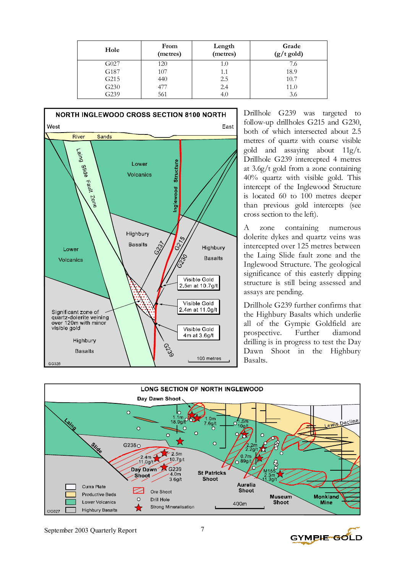| Hole | From<br>(metres) | Length<br>(metres) | Grade<br>$(g/t \text{ gold})$ |
|------|------------------|--------------------|-------------------------------|
| G027 | 120              | 1.0                | 7.6                           |
| G187 | 107              | 1.1                | 18.9                          |
| G215 | 440              | 2.5                | 10.7                          |
| G230 | 477              | 2.4                | 11.0                          |
| G239 | 561              | 4.0                | 3.6                           |



Drillhole G239 was targeted to follow-up drillholes G215 and G230, both of which intersected about 2.5 metres of quartz with coarse visible gold and assaying about 11g/t. Drillhole G239 intercepted 4 metres at 3.6g/t gold from a zone containing 40% quartz with visible gold. This intercept of the Inglewood Structure is located 60 to 100 metres deeper than previous gold intercepts (see cross section to the left).

A zone containing numerous dolerite dykes and quartz veins was intercepted over 125 metres between the Laing Slide fault zone and the Inglewood Structure. The geological significance of this easterly dipping structure is still being assessed and assays are pending.

Drillhole G239 further confirms that the Highbury Basalts which underlie all of the Gympie Goldfield are prospective. Further diamond drilling is in progress to test the Day Dawn Shoot in the Highbury Basalts.



GYMPIE-GOLD

September 2003 Quarterly Report 7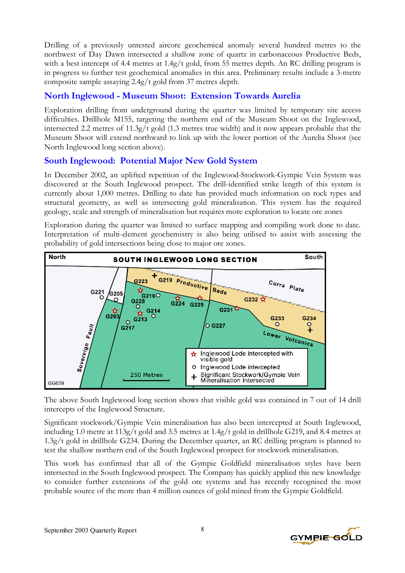Drilling of a previously untested aircore geochemical anomaly several hundred metres to the northwest of Day Dawn intersected a shallow zone of quartz in carbonaceous Productive Beds, with a best intercept of 4.4 metres at 1.4g/t gold, from 55 metres depth. An RC drilling program is in progress to further test geochemical anomalies in this area. Preliminary results include a 3-metre composite sample assaying 2.4g/t gold from 37 metres depth.

#### **North Inglewood - Museum Shoot: Extension Towards Aurelia**

Exploration drilling from underground during the quarter was limited by temporary site access difficulties. Drillhole M155, targeting the northern end of the Museum Shoot on the Inglewood, intersected 2.2 metres of 11.3g/t gold (1.3 metres true width) and it now appears probable that the Museum Shoot will extend northward to link up with the lower portion of the Aurelia Shoot (see North Inglewood long section above).

### **South Inglewood: Potential Major New Gold System**

In December 2002, an uplifted repetition of the Inglewood-Stockwork-Gympie Vein System was discovered at the South Inglewood prospect. The drill-identified strike length of this system is currently about 1,000 metres. Drilling to date has provided much information on rock types and structural geometry, as well as intersecting gold mineralisation. This system has the required geology, scale and strength of mineralisation but requires more exploration to locate ore zones

Exploration during the quarter was limited to surface mapping and compiling work done to date. Interpretation of multi-element geochemistry is also being utilised to assist with assessing the probability of gold intersections being close to major ore zones.



The above South Inglewood long section shows that visible gold was contained in 7 out of 14 drill intercepts of the Inglewood Structure.

Significant stockwork/Gympie Vein mineralisation has also been intercepted at South Inglewood, including 1.0 metre at 113g/t gold and 3.5 metres at 1.4g/t gold in drillhole G219, and 8.4 metres at 1.3g/t gold in drillhole G234. During the December quarter, an RC drilling program is planned to test the shallow northern end of the South Inglewood prospect for stockwork mineralisation.

This work has confirmed that all of the Gympie Goldfield mineralisation styles have been intersected in the South Inglewood prospect. The Company has quickly applied this new knowledge to consider further extensions of the gold ore systems and has recently recognised the most probable source of the more than 4 million ounces of gold mined from the Gympie Goldfield.

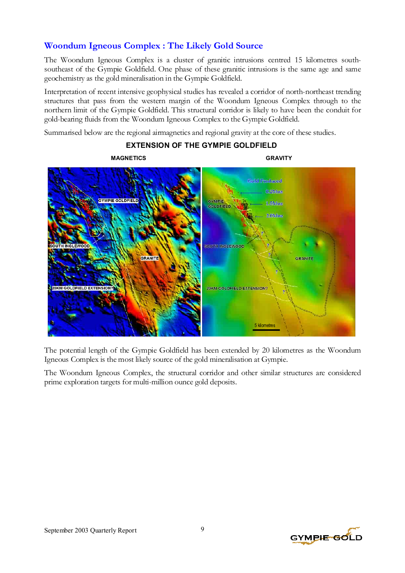### **Woondum Igneous Complex : The Likely Gold Source**

The Woondum Igneous Complex is a cluster of granitic intrusions centred 15 kilometres southsoutheast of the Gympie Goldfield. One phase of these granitic intrusions is the same age and same geochemistry as the gold mineralisation in the Gympie Goldfield.

Interpretation of recent intensive geophysical studies has revealed a corridor of north-northeast trending structures that pass from the western margin of the Woondum Igneous Complex through to the northern limit of the Gympie Goldfield. This structural corridor is likely to have been the conduit for gold-bearing fluids from the Woondum Igneous Complex to the Gympie Goldfield.

Summarised below are the regional airmagnetics and regional gravity at the core of these studies.

# **MAGNETICS GRAVITY Gold Produced** 0.2Moz **GYMPIE GOLDFIELD GYMPIE**<br>GOLDFIELD 1.5Moz 2.0Moz SOUTH INGLEWOOD GRANITE GRANITE 20KM GOLDFIELD EXTENSION? 20KM GOLDEIELD EXTENSIO 5 kilometres

#### **EXTENSION OF THE GYMPIE GOLDFIELD**

The potential length of the Gympie Goldfield has been extended by 20 kilometres as the Woondum Igneous Complex is the most likely source of the gold mineralisation at Gympie.

The Woondum Igneous Complex, the structural corridor and other similar structures are considered prime exploration targets for multi-million ounce gold deposits.

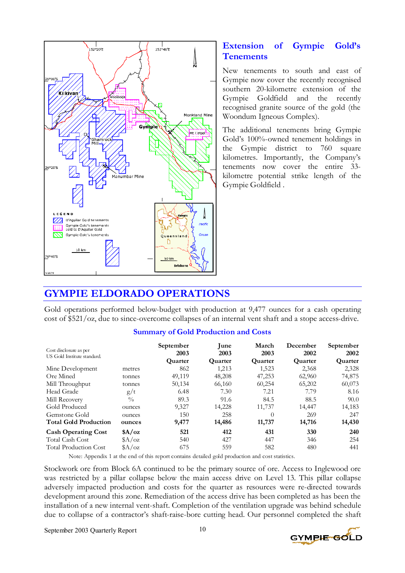

#### **Extension of Gympie Gold's Tenements**

New tenements to south and east of Gympie now cover the recently recognised southern 20-kilometre extension of the Gympie Goldfield and the recently recognised granite source of the gold (the Woondum Igneous Complex).

The additional tenements bring Gympie Gold's 100%-owned tenement holdings in the Gympie district to 760 square kilometres. Importantly, the Company's tenements now cover the entire 33 kilometre potential strike length of the Gympie Goldfield .

### **GYMPIE ELDORADO OPERATIONS**

Gold operations performed below-budget with production at 9,477 ounces for a cash operating cost of \$521/oz, due to since-overcome collapses of an internal vent shaft and a stope access-drive.

#### Cost disclosure as per US Gold Institute standard. **September 2003 Quarter June 2003 Quarter March 2003 Quarter December 2002 Quarter September 2002 Quarter**  Mine Development metres 862 1,213 1,523 2,368 2,328 Ore Mined tonnes 49,119 48,208 47,253 62,960 74,875 Mill Throughput tonnes 50,134 66,160 60,254 65,202 60,073<br>Head Grade  $g/t$  6.48 7.30 7.21 7.79 8.16 Head Grade g/t 6.48 7.30 7.21 7.79 8.16 Mill Recovery 6 89.3 91.6 84.5 88.5 90.0 Gold Produced ounces 9,327 14,228 11,737 14,447 14,183 Gemstone Gold ounces 150 258 0 269 247 **Total Gold Production ounces 9,477 14,486 11,737 14,716 14,430 Cash Operating Cost \$A/oz 521 412 431 330 240**  Total Cash Cost \$A/oz 540 427 447 346 254 Total Production Cost \$A/oz 675 559 582 480 441

#### **Summary of Gold Production and Costs**

Note: Appendix 1 at the end of this report contains detailed gold production and cost statistics.

Stockwork ore from Block 6A continued to be the primary source of ore. Access to Inglewood ore was restricted by a pillar collapse below the main access drive on Level 13. This pillar collapse adversely impacted production and costs for the quarter as resources were re-directed towards development around this zone. Remediation of the access drive has been completed as has been the installation of a new internal vent-shaft. Completion of the ventilation upgrade was behind schedule due to collapse of a contractor's shaft-raise-bore cutting head. Our personnel completed the shaft

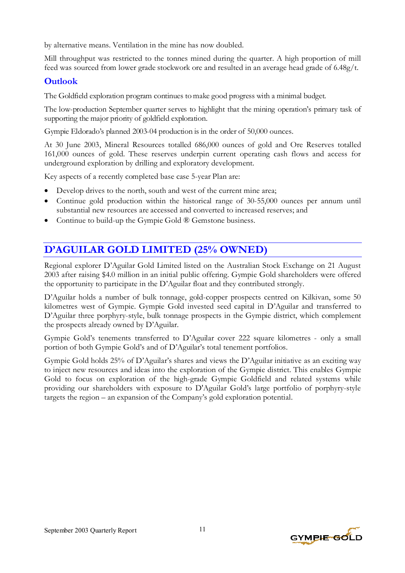by alternative means. Ventilation in the mine has now doubled.

Mill throughput was restricted to the tonnes mined during the quarter. A high proportion of mill feed was sourced from lower grade stockwork ore and resulted in an average head grade of 6.48g/t.

#### **Outlook**

The Goldfield exploration program continues to make good progress with a minimal budget.

The low-production September quarter serves to highlight that the mining operation's primary task of supporting the major priority of goldfield exploration.

Gympie Eldorado's planned 2003-04 production is in the order of 50,000 ounces.

At 30 June 2003, Mineral Resources totalled 686,000 ounces of gold and Ore Reserves totalled 161,000 ounces of gold. These reserves underpin current operating cash flows and access for underground exploration by drilling and exploratory development.

Key aspects of a recently completed base case 5-year Plan are:

- Develop drives to the north, south and west of the current mine area;
- Continue gold production within the historical range of 30-55,000 ounces per annum until substantial new resources are accessed and converted to increased reserves; and
- Continue to build-up the Gympie Gold ® Gemstone business.

## **D'AGUILAR GOLD LIMITED (25% OWNED)**

Regional explorer D'Aguilar Gold Limited listed on the Australian Stock Exchange on 21 August 2003 after raising \$4.0 million in an initial public offering. Gympie Gold shareholders were offered the opportunity to participate in the D'Aguilar float and they contributed strongly.

D'Aguilar holds a number of bulk tonnage, gold-copper prospects centred on Kilkivan, some 50 kilometres west of Gympie. Gympie Gold invested seed capital in D'Aguilar and transferred to D'Aguilar three porphyry-style, bulk tonnage prospects in the Gympie district, which complement the prospects already owned by D'Aguilar.

Gympie Gold's tenements transferred to D'Aguilar cover 222 square kilometres - only a small portion of both Gympie Gold's and of D'Aguilar's total tenement portfolios.

Gympie Gold holds 25% of D'Aguilar's shares and views the D'Aguilar initiative as an exciting way to inject new resources and ideas into the exploration of the Gympie district. This enables Gympie Gold to focus on exploration of the high-grade Gympie Goldfield and related systems while providing our shareholders with exposure to D'Aguilar Gold's large portfolio of porphyry-style targets the region – an expansion of the Company's gold exploration potential.

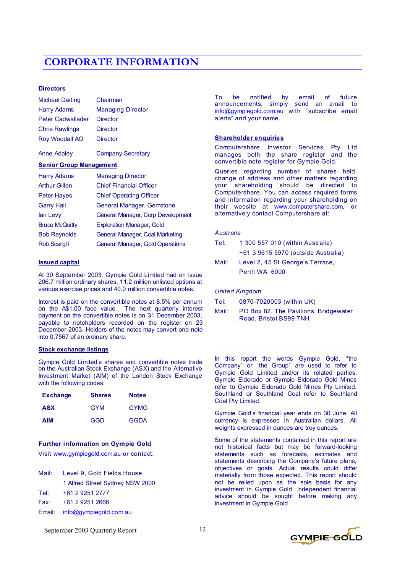## **CORPORATE INFORMATION**

#### **Directors**

| <b>Michael Darling</b>   | Chairman                 |
|--------------------------|--------------------------|
| <b>Harry Adams</b>       | <b>Managing Director</b> |
| <b>Peter Cadwallader</b> | <b>Director</b>          |
| <b>Chris Rawlings</b>    | <b>Director</b>          |
| <b>Roy Woodall AO</b>    | <b>Director</b>          |
| <b>Anne Adaley</b>       | <b>Company Secretary</b> |

#### **Senior Group Management**

| <b>Harry Adams</b>    | <b>Managing Director</b>                |
|-----------------------|-----------------------------------------|
| <b>Arthur Gillen</b>  | <b>Chief Financial Officer</b>          |
| <b>Peter Haves</b>    | <b>Chief Operating Officer</b>          |
| <b>Garry Hall</b>     | General Manager, Gemstone               |
| lan Levy              | General Manager, Corp Development       |
| <b>Bruce McQuitty</b> | <b>Exploration Manager, Gold</b>        |
| <b>Bob Reynolds</b>   | General Manager, Coal Marketing         |
| <b>Rob Scargill</b>   | <b>General Manager, Gold Operations</b> |

#### **Issued capital**

At 30 September 2003, Gympie Gold Limited had on issue 206.7 million ordinary shares, 11.2 million unlisted options at various exercise prices and 40.0 million convertible notes.

Interest is paid on the convertible notes at 8.5% per annum on the A\$1.00 face value. The next quarterly interest payment on the convertible notes is on 31 December 2003, payable to noteholders recorded on the register on 23 December 2003. Holders of the notes may convert one note into 0.7567 of an ordinary share.

#### **Stock exchange listings**

Gympie Gold Limited's shares and convertible notes trade on the Australian Stock Exchange (ASX) and the Alternative Investment Market (AIM) of the London Stock Exchange with the following codes:

| <b>Exchange</b> | <b>Shares</b> | <b>Notes</b> |
|-----------------|---------------|--------------|
| <b>ASX</b>      | GYM           | <b>GYMG</b>  |
| <b>AIM</b>      | GGD           | <b>GGDA</b>  |

#### **Further information on Gympie Gold**

Visit www.gympiegold.com.au or contact:

| Mail:  | Level 9, Gold Fields House      |
|--------|---------------------------------|
|        | 1 Alfred Street Sydney NSW 2000 |
| Tel:   | +61 2 9251 2777                 |
| Fax:   | +61 2 9251 2666                 |
| Email: | info@gympiegold.com.au          |

To be notified by email of future announcements, simply send an email to info@gympiegold.com.au with "subscribe email alerts" and your name.

#### **Shareholder enquiries**

Computershare Investor Services Pty Ltd manages both the share register and the convertible note register for Gympie Gold.

Queries regarding number of shares held, change of address and other matters regarding your shareholding should be directed to Computershare. You can access required forms and information regarding your shareholding on their website at www.computershare.com, or alternatively contact Computershare at:

#### *Australia*

| 1 300 557 010 (within Australia)    |
|-------------------------------------|
| +61 3 9615 5970 (outside Australia) |
| Level 2, 45 St George's Terrace,    |
| Perth WA 6000                       |
|                                     |

#### *United Kingdom*

| Tel: | 0870-7020003 (within UK) |  |
|------|--------------------------|--|
|------|--------------------------|--|

Mail: PO Box 82, The Pavilions, Bridgewater Road, Bristol BS99 7NH

In this report the words Gympie Gold, "the Company" or "the Group" are used to refer to Gympie Gold Limited and/or its related parties. Gympie Eldorado or Gympie Eldorado Gold Mines refer to Gympie Eldorado Gold Mines Pty Limited. Southland or Southland Coal refer to Southland Coal Pty Limited.

Gympie Gold's financial year ends on 30 June. All currency is expressed in Australian dollars. All weights expressed in ounces are troy ounces.

Some of the statements contained in this report are not historical facts but may be forward-looking statements such as forecasts, estimates and statements describing the Company's future plans, objectives or goals. Actual results could differ materially from those expected. This report should not be relied upon as the sole basis for any investment in Gympie Gold. Independent financial advice should be sought before making any investment in Gympie Gold